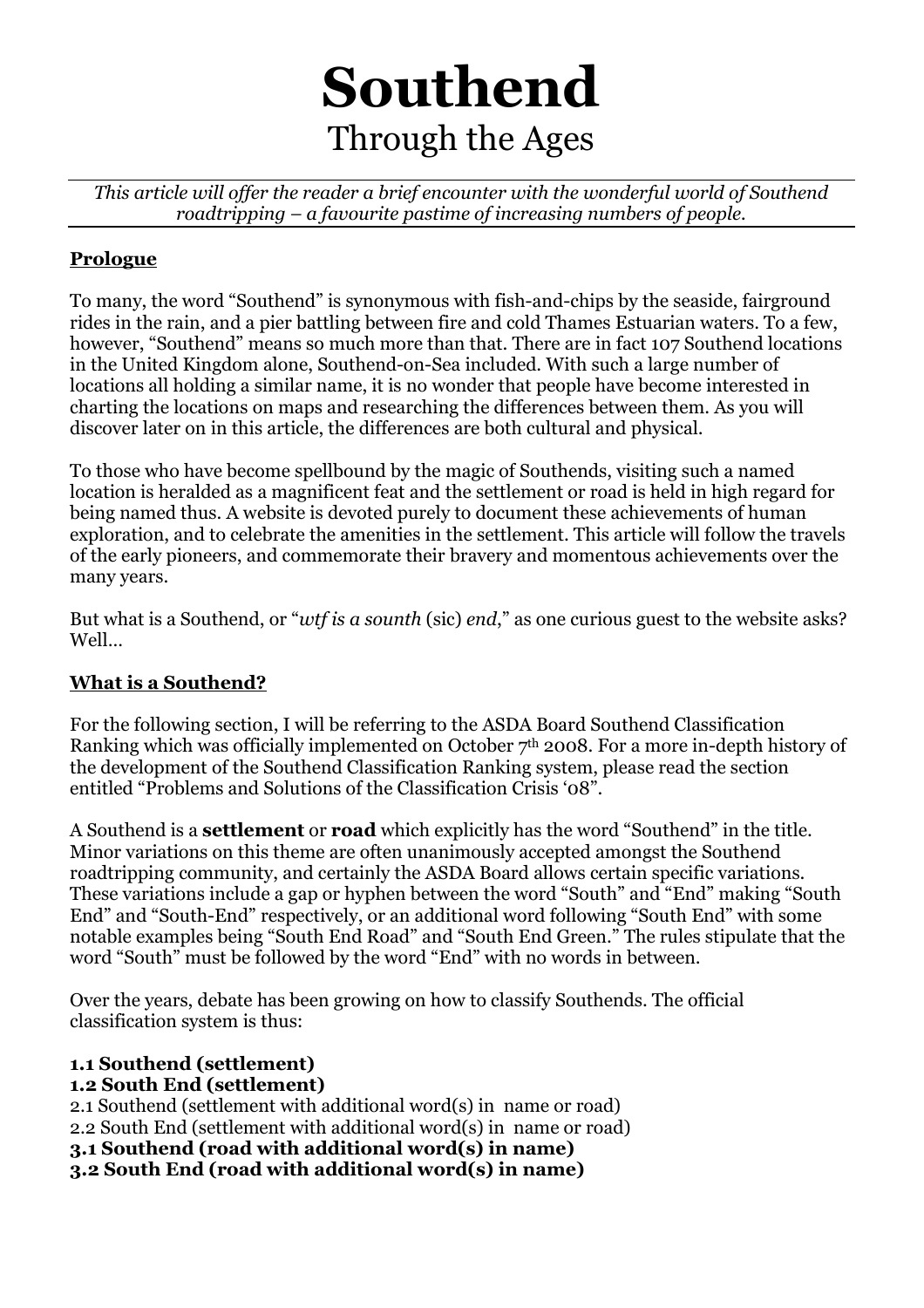# **Southend**  Through the Ages

*This article will offer the reader a brief encounter with the wonderful world of Southend roadtripping – a favourite pastime of increasing numbers of people.* 

# **Prologue**

To many, the word "Southend" is synonymous with fish-and-chips by the seaside, fairground rides in the rain, and a pier battling between fire and cold Thames Estuarian waters. To a few, however, "Southend" means so much more than that. There are in fact 107 Southend locations in the United Kingdom alone, Southend-on-Sea included. With such a large number of locations all holding a similar name, it is no wonder that people have become interested in charting the locations on maps and researching the differences between them. As you will discover later on in this article, the differences are both cultural and physical.

To those who have become spellbound by the magic of Southends, visiting such a named location is heralded as a magnificent feat and the settlement or road is held in high regard for being named thus. A website is devoted purely to document these achievements of human exploration, and to celebrate the amenities in the settlement. This article will follow the travels of the early pioneers, and commemorate their bravery and momentous achievements over the many years.

But what is a Southend, or "*wtf is a sounth* (sic) *end*," as one curious guest to the website asks? Well…

# **What is a Southend?**

For the following section, I will be referring to the ASDA Board Southend Classification Ranking which was officially implemented on October  $7<sup>th</sup>$  2008. For a more in-depth history of the development of the Southend Classification Ranking system, please read the section entitled "Problems and Solutions of the Classification Crisis '08".

A Southend is a **settlement** or **road** which explicitly has the word "Southend" in the title. Minor variations on this theme are often unanimously accepted amongst the Southend roadtripping community, and certainly the ASDA Board allows certain specific variations. These variations include a gap or hyphen between the word "South" and "End" making "South End" and "South-End" respectively, or an additional word following "South End" with some notable examples being "South End Road" and "South End Green." The rules stipulate that the word "South" must be followed by the word "End" with no words in between.

Over the years, debate has been growing on how to classify Southends. The official classification system is thus:

# **1.1 Southend (settlement)**

#### **1.2 South End (settlement)**

2.1 Southend (settlement with additional word(s) in name or road) 2.2 South End (settlement with additional word(s) in name or road) **3.1 Southend (road with additional word(s) in name) 3.2 South End (road with additional word(s) in name)**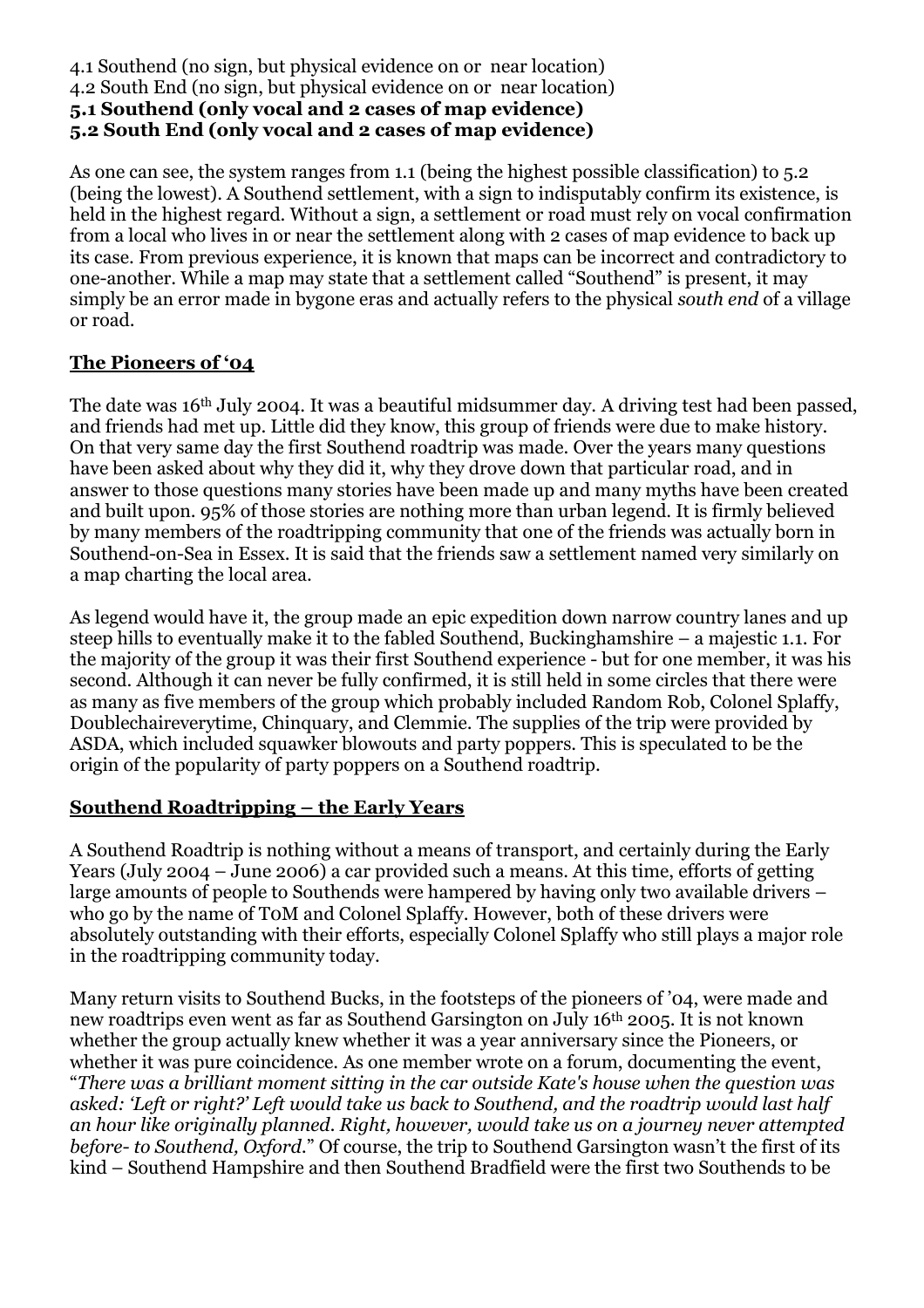#### 4.1 Southend (no sign, but physical evidence on or near location) 4.2 South End (no sign, but physical evidence on or near location) **5.1 Southend (only vocal and 2 cases of map evidence) 5.2 South End (only vocal and 2 cases of map evidence)**

As one can see, the system ranges from 1.1 (being the highest possible classification) to 5.2 (being the lowest). A Southend settlement, with a sign to indisputably confirm its existence, is held in the highest regard. Without a sign, a settlement or road must rely on vocal confirmation from a local who lives in or near the settlement along with 2 cases of map evidence to back up its case. From previous experience, it is known that maps can be incorrect and contradictory to one-another. While a map may state that a settlement called "Southend" is present, it may simply be an error made in bygone eras and actually refers to the physical *south end* of a village or road.

### **The Pioneers of '04**

The date was 16<sup>th</sup> July 2004. It was a beautiful midsummer day. A driving test had been passed, and friends had met up. Little did they know, this group of friends were due to make history. On that very same day the first Southend roadtrip was made. Over the years many questions have been asked about why they did it, why they drove down that particular road, and in answer to those questions many stories have been made up and many myths have been created and built upon. 95% of those stories are nothing more than urban legend. It is firmly believed by many members of the roadtripping community that one of the friends was actually born in Southend-on-Sea in Essex. It is said that the friends saw a settlement named very similarly on a map charting the local area.

As legend would have it, the group made an epic expedition down narrow country lanes and up steep hills to eventually make it to the fabled Southend, Buckinghamshire – a majestic 1.1. For the majority of the group it was their first Southend experience - but for one member, it was his second. Although it can never be fully confirmed, it is still held in some circles that there were as many as five members of the group which probably included Random Rob, Colonel Splaffy, Doublechaireverytime, Chinquary, and Clemmie. The supplies of the trip were provided by ASDA, which included squawker blowouts and party poppers. This is speculated to be the origin of the popularity of party poppers on a Southend roadtrip.

#### **Southend Roadtripping – the Early Years**

A Southend Roadtrip is nothing without a means of transport, and certainly during the Early Years (July 2004 – June 2006) a car provided such a means. At this time, efforts of getting large amounts of people to Southends were hampered by having only two available drivers – who go by the name of T0M and Colonel Splaffy. However, both of these drivers were absolutely outstanding with their efforts, especially Colonel Splaffy who still plays a major role in the roadtripping community today.

Many return visits to Southend Bucks, in the footsteps of the pioneers of '04, were made and new roadtrips even went as far as Southend Garsington on July 16th 2005. It is not known whether the group actually knew whether it was a year anniversary since the Pioneers, or whether it was pure coincidence. As one member wrote on a forum, documenting the event, "*There was a brilliant moment sitting in the car outside Kate's house when the question was asked: 'Left or right?' Left would take us back to Southend, and the roadtrip would last half an hour like originally planned. Right, however, would take us on a journey never attempted before- to Southend, Oxford.*" Of course, the trip to Southend Garsington wasn't the first of its kind – Southend Hampshire and then Southend Bradfield were the first two Southends to be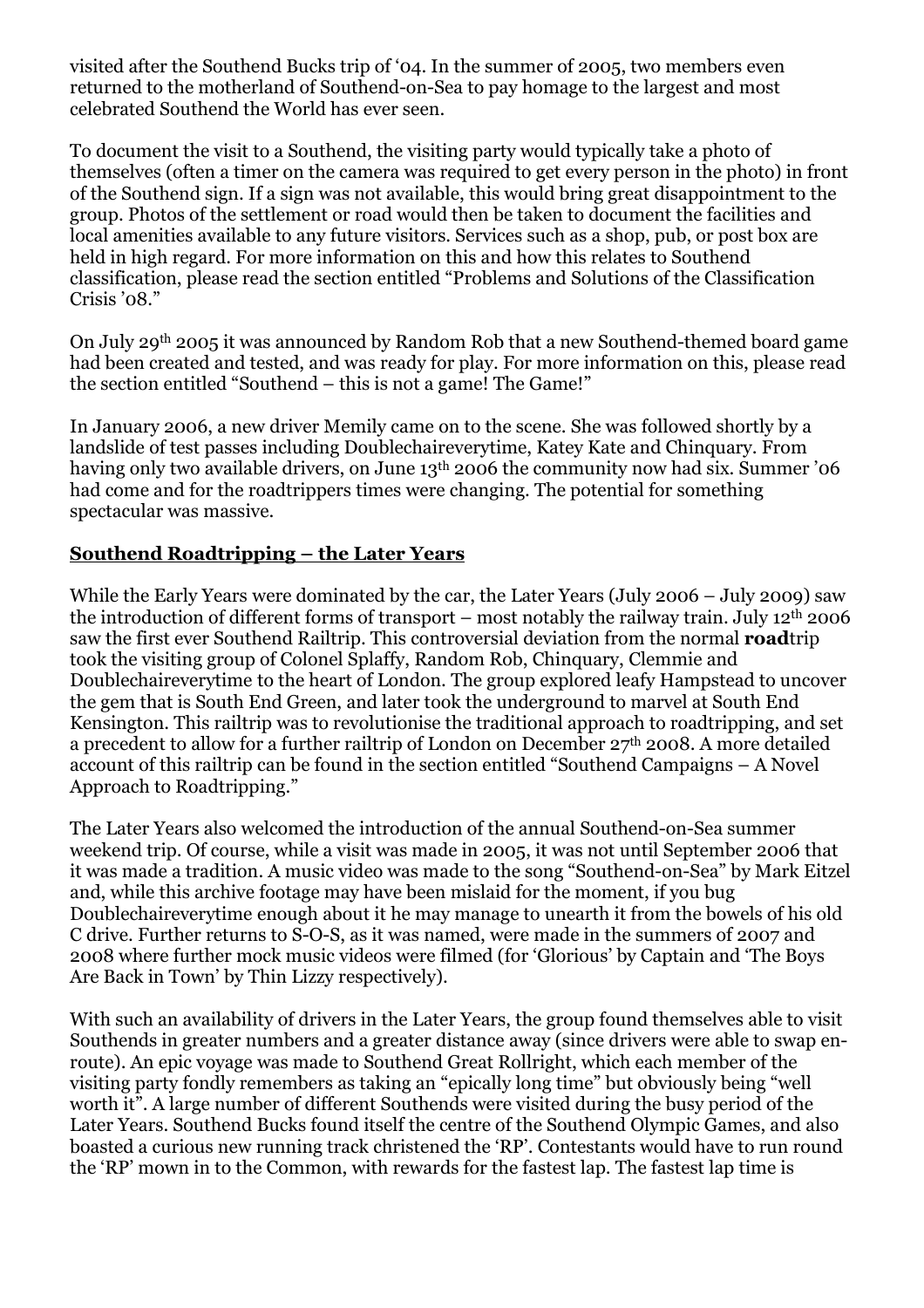visited after the Southend Bucks trip of '04. In the summer of 2005, two members even returned to the motherland of Southend-on-Sea to pay homage to the largest and most celebrated Southend the World has ever seen.

To document the visit to a Southend, the visiting party would typically take a photo of themselves (often a timer on the camera was required to get every person in the photo) in front of the Southend sign. If a sign was not available, this would bring great disappointment to the group. Photos of the settlement or road would then be taken to document the facilities and local amenities available to any future visitors. Services such as a shop, pub, or post box are held in high regard. For more information on this and how this relates to Southend classification, please read the section entitled "Problems and Solutions of the Classification Crisis '08."

On July 29th 2005 it was announced by Random Rob that a new Southend-themed board game had been created and tested, and was ready for play. For more information on this, please read the section entitled "Southend – this is not a game! The Game!"

In January 2006, a new driver Memily came on to the scene. She was followed shortly by a landslide of test passes including Doublechaireverytime, Katey Kate and Chinquary. From having only two available drivers, on June 13<sup>th</sup> 2006 the community now had six. Summer '06 had come and for the roadtrippers times were changing. The potential for something spectacular was massive.

### **Southend Roadtripping – the Later Years**

While the Early Years were dominated by the car, the Later Years (July 2006 – July 2009) saw the introduction of different forms of transport – most notably the railway train. July 12th 2006 saw the first ever Southend Railtrip. This controversial deviation from the normal **road**trip took the visiting group of Colonel Splaffy, Random Rob, Chinquary, Clemmie and Doublechaireverytime to the heart of London. The group explored leafy Hampstead to uncover the gem that is South End Green, and later took the underground to marvel at South End Kensington. This railtrip was to revolutionise the traditional approach to roadtripping, and set a precedent to allow for a further railtrip of London on December 27th 2008. A more detailed account of this railtrip can be found in the section entitled "Southend Campaigns – A Novel Approach to Roadtripping."

The Later Years also welcomed the introduction of the annual Southend-on-Sea summer weekend trip. Of course, while a visit was made in 2005, it was not until September 2006 that it was made a tradition. A music video was made to the song "Southend-on-Sea" by Mark Eitzel and, while this archive footage may have been mislaid for the moment, if you bug Doublechaireverytime enough about it he may manage to unearth it from the bowels of his old C drive. Further returns to S-O-S, as it was named, were made in the summers of 2007 and 2008 where further mock music videos were filmed (for 'Glorious' by Captain and 'The Boys Are Back in Town' by Thin Lizzy respectively).

With such an availability of drivers in the Later Years, the group found themselves able to visit Southends in greater numbers and a greater distance away (since drivers were able to swap enroute). An epic voyage was made to Southend Great Rollright, which each member of the visiting party fondly remembers as taking an "epically long time" but obviously being "well worth it". A large number of different Southends were visited during the busy period of the Later Years. Southend Bucks found itself the centre of the Southend Olympic Games, and also boasted a curious new running track christened the 'RP'. Contestants would have to run round the 'RP' mown in to the Common, with rewards for the fastest lap. The fastest lap time is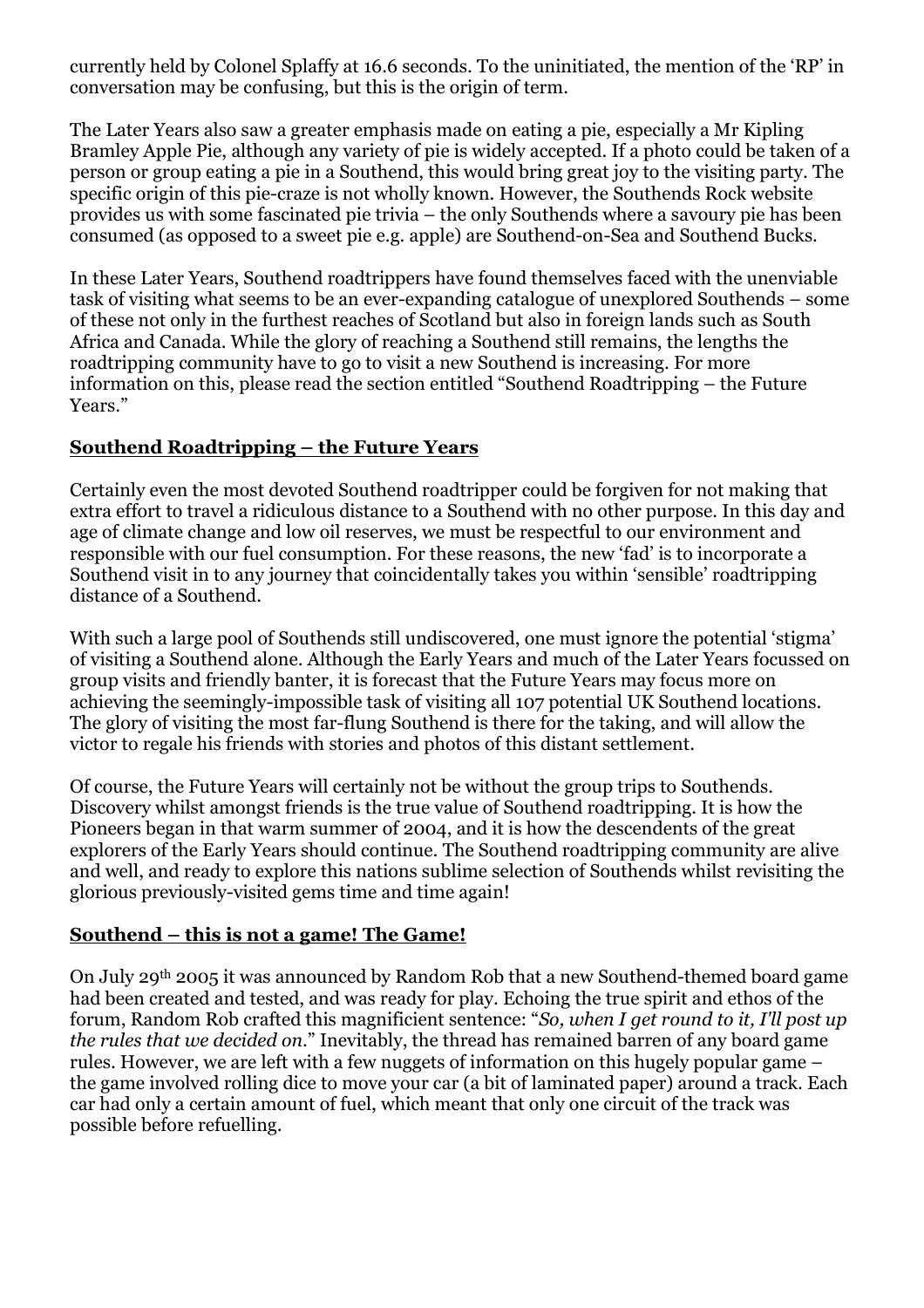currently held by Colonel Splaffy at 16.6 seconds. To the uninitiated, the mention of the 'RP' in conversation may be confusing, but this is the origin of term.

The Later Years also saw a greater emphasis made on eating a pie, especially a Mr Kipling Bramley Apple Pie, although any variety of pie is widely accepted. If a photo could be taken of a person or group eating a pie in a Southend, this would bring great joy to the visiting party. The specific origin of this pie-craze is not wholly known. However, the Southends Rock website provides us with some fascinated pie trivia – the only Southends where a savoury pie has been consumed (as opposed to a sweet pie e.g. apple) are Southend-on-Sea and Southend Bucks.

In these Later Years, Southend roadtrippers have found themselves faced with the unenviable task of visiting what seems to be an ever-expanding catalogue of unexplored Southends – some of these not only in the furthest reaches of Scotland but also in foreign lands such as South Africa and Canada. While the glory of reaching a Southend still remains, the lengths the roadtripping community have to go to visit a new Southend is increasing. For more information on this, please read the section entitled "Southend Roadtripping – the Future Years."

# **Southend Roadtripping – the Future Years**

Certainly even the most devoted Southend roadtripper could be forgiven for not making that extra effort to travel a ridiculous distance to a Southend with no other purpose. In this day and age of climate change and low oil reserves, we must be respectful to our environment and responsible with our fuel consumption. For these reasons, the new 'fad' is to incorporate a Southend visit in to any journey that coincidentally takes you within 'sensible' roadtripping distance of a Southend.

With such a large pool of Southends still undiscovered, one must ignore the potential 'stigma' of visiting a Southend alone. Although the Early Years and much of the Later Years focussed on group visits and friendly banter, it is forecast that the Future Years may focus more on achieving the seemingly-impossible task of visiting all 107 potential UK Southend locations. The glory of visiting the most far-flung Southend is there for the taking, and will allow the victor to regale his friends with stories and photos of this distant settlement.

Of course, the Future Years will certainly not be without the group trips to Southends. Discovery whilst amongst friends is the true value of Southend roadtripping. It is how the Pioneers began in that warm summer of 2004, and it is how the descendents of the great explorers of the Early Years should continue. The Southend roadtripping community are alive and well, and ready to explore this nations sublime selection of Southends whilst revisiting the glorious previously-visited gems time and time again!

# **Southend – this is not a game! The Game!**

On July 29th 2005 it was announced by Random Rob that a new Southend-themed board game had been created and tested, and was ready for play. Echoing the true spirit and ethos of the forum, Random Rob crafted this magnificient sentence: "*So, when I get round to it, I'll post up the rules that we decided on*." Inevitably, the thread has remained barren of any board game rules. However, we are left with a few nuggets of information on this hugely popular game – the game involved rolling dice to move your car (a bit of laminated paper) around a track. Each car had only a certain amount of fuel, which meant that only one circuit of the track was possible before refuelling.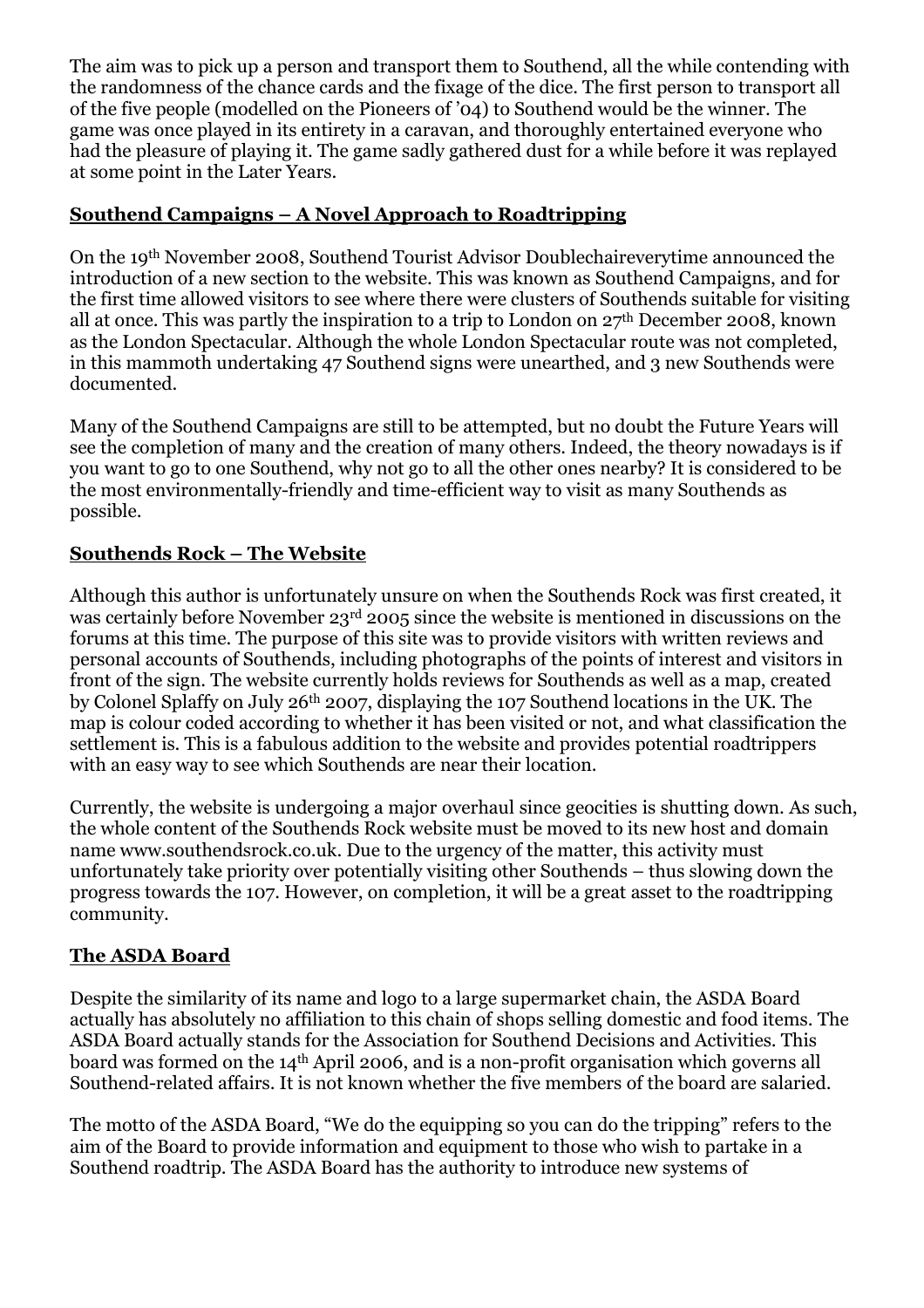The aim was to pick up a person and transport them to Southend, all the while contending with the randomness of the chance cards and the fixage of the dice. The first person to transport all of the five people (modelled on the Pioneers of '04) to Southend would be the winner. The game was once played in its entirety in a caravan, and thoroughly entertained everyone who had the pleasure of playing it. The game sadly gathered dust for a while before it was replayed at some point in the Later Years.

# **Southend Campaigns – A Novel Approach to Roadtripping**

On the 19th November 2008, Southend Tourist Advisor Doublechaireverytime announced the introduction of a new section to the website. This was known as Southend Campaigns, and for the first time allowed visitors to see where there were clusters of Southends suitable for visiting all at once. This was partly the inspiration to a trip to London on 27th December 2008, known as the London Spectacular. Although the whole London Spectacular route was not completed, in this mammoth undertaking 47 Southend signs were unearthed, and 3 new Southends were documented.

Many of the Southend Campaigns are still to be attempted, but no doubt the Future Years will see the completion of many and the creation of many others. Indeed, the theory nowadays is if you want to go to one Southend, why not go to all the other ones nearby? It is considered to be the most environmentally-friendly and time-efficient way to visit as many Southends as possible.

### **Southends Rock – The Website**

Although this author is unfortunately unsure on when the Southends Rock was first created, it was certainly before November 23rd 2005 since the website is mentioned in discussions on the forums at this time. The purpose of this site was to provide visitors with written reviews and personal accounts of Southends, including photographs of the points of interest and visitors in front of the sign. The website currently holds reviews for Southends as well as a map, created by Colonel Splaffy on July 26th 2007, displaying the 107 Southend locations in the UK. The map is colour coded according to whether it has been visited or not, and what classification the settlement is. This is a fabulous addition to the website and provides potential roadtrippers with an easy way to see which Southends are near their location.

Currently, the website is undergoing a major overhaul since geocities is shutting down. As such, the whole content of the Southends Rock website must be moved to its new host and domain name www.southendsrock.co.uk. Due to the urgency of the matter, this activity must unfortunately take priority over potentially visiting other Southends – thus slowing down the progress towards the 107. However, on completion, it will be a great asset to the roadtripping community.

#### **The ASDA Board**

Despite the similarity of its name and logo to a large supermarket chain, the ASDA Board actually has absolutely no affiliation to this chain of shops selling domestic and food items. The ASDA Board actually stands for the Association for Southend Decisions and Activities. This board was formed on the 14th April 2006, and is a non-profit organisation which governs all Southend-related affairs. It is not known whether the five members of the board are salaried.

The motto of the ASDA Board, "We do the equipping so you can do the tripping" refers to the aim of the Board to provide information and equipment to those who wish to partake in a Southend roadtrip. The ASDA Board has the authority to introduce new systems of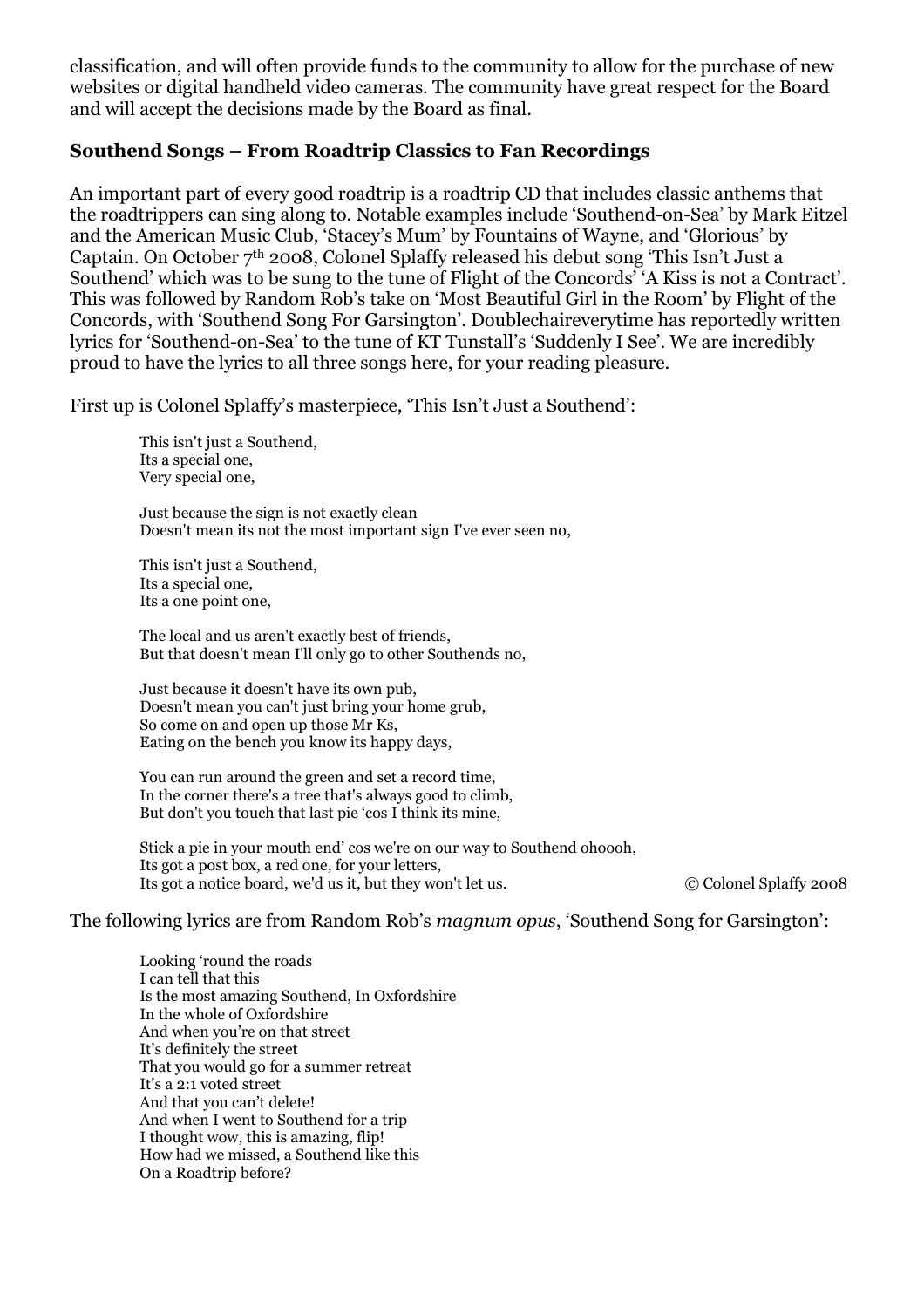classification, and will often provide funds to the community to allow for the purchase of new websites or digital handheld video cameras. The community have great respect for the Board and will accept the decisions made by the Board as final.

#### **Southend Songs – From Roadtrip Classics to Fan Recordings**

An important part of every good roadtrip is a roadtrip CD that includes classic anthems that the roadtrippers can sing along to. Notable examples include 'Southend-on-Sea' by Mark Eitzel and the American Music Club, 'Stacey's Mum' by Fountains of Wayne, and 'Glorious' by Captain. On October 7th 2008, Colonel Splaffy released his debut song 'This Isn't Just a Southend' which was to be sung to the tune of Flight of the Concords' 'A Kiss is not a Contract'. This was followed by Random Rob's take on 'Most Beautiful Girl in the Room' by Flight of the Concords, with 'Southend Song For Garsington'. Doublechaireverytime has reportedly written lyrics for 'Southend-on-Sea' to the tune of KT Tunstall's 'Suddenly I See'. We are incredibly proud to have the lyrics to all three songs here, for your reading pleasure.

First up is Colonel Splaffy's masterpiece, 'This Isn't Just a Southend':

This isn't just a Southend, Its a special one, Very special one,

Just because the sign is not exactly clean Doesn't mean its not the most important sign I've ever seen no,

This isn't just a Southend. Its a special one, Its a one point one,

The local and us aren't exactly best of friends, But that doesn't mean I'll only go to other Southends no,

Just because it doesn't have its own pub, Doesn't mean you can't just bring your home grub, So come on and open up those Mr Ks, Eating on the bench you know its happy days,

You can run around the green and set a record time, In the corner there's a tree that's always good to climb, But don't you touch that last pie 'cos I think its mine,

Stick a pie in your mouth end' cos we're on our way to Southend ohoooh, Its got a post box, a red one, for your letters, Its got a notice board, we'd us it, but they won't let us. © Colonel Splaffy 2008

The following lyrics are from Random Rob's *magnum opus*, 'Southend Song for Garsington':

Looking 'round the roads I can tell that this Is the most amazing Southend, In Oxfordshire In the whole of Oxfordshire And when you're on that street It's definitely the street That you would go for a summer retreat It's a 2:1 voted street And that you can't delete! And when I went to Southend for a trip I thought wow, this is amazing, flip! How had we missed, a Southend like this On a Roadtrip before?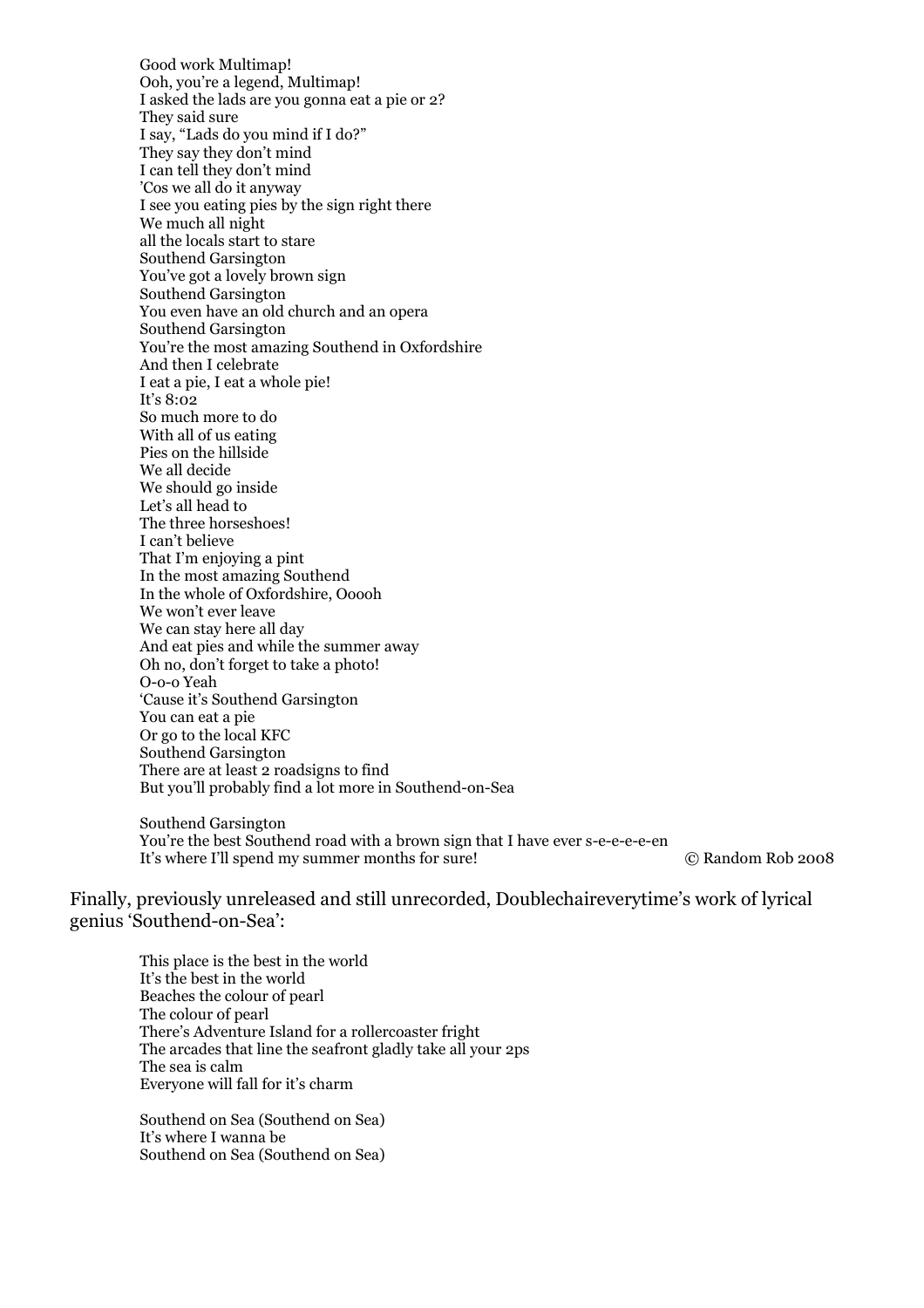Good work Multimap! Ooh, you're a legend, Multimap! I asked the lads are you gonna eat a pie or 2? They said sure I say, "Lads do you mind if I do?" They say they don't mind I can tell they don't mind 'Cos we all do it anyway I see you eating pies by the sign right there We much all night all the locals start to stare Southend Garsington You've got a lovely brown sign Southend Garsington You even have an old church and an opera Southend Garsington You're the most amazing Southend in Oxfordshire And then I celebrate I eat a pie, I eat a whole pie! It's 8:02 So much more to do With all of us eating Pies on the hillside We all decide We should go inside Let's all head to The three horseshoes! I can't believe That I'm enjoying a pint In the most amazing Southend In the whole of Oxfordshire, Ooooh We won't ever leave We can stay here all day And eat pies and while the summer away Oh no, don't forget to take a photo! O-o-o Yeah 'Cause it's Southend Garsington You can eat a pie Or go to the local KFC Southend Garsington There are at least 2 roadsigns to find But you'll probably find a lot more in Southend-on-Sea Southend Garsington

You're the best Southend road with a brown sign that I have ever s-e-e-e-e-en It's where I'll spend my summer months for sure! © Random Rob 2008

Finally, previously unreleased and still unrecorded, Doublechaireverytime's work of lyrical genius 'Southend-on-Sea':

This place is the best in the world It's the best in the world Beaches the colour of pearl The colour of pearl There's Adventure Island for a rollercoaster fright The arcades that line the seafront gladly take all your 2ps The sea is calm Everyone will fall for it's charm

Southend on Sea (Southend on Sea) It's where I wanna be Southend on Sea (Southend on Sea)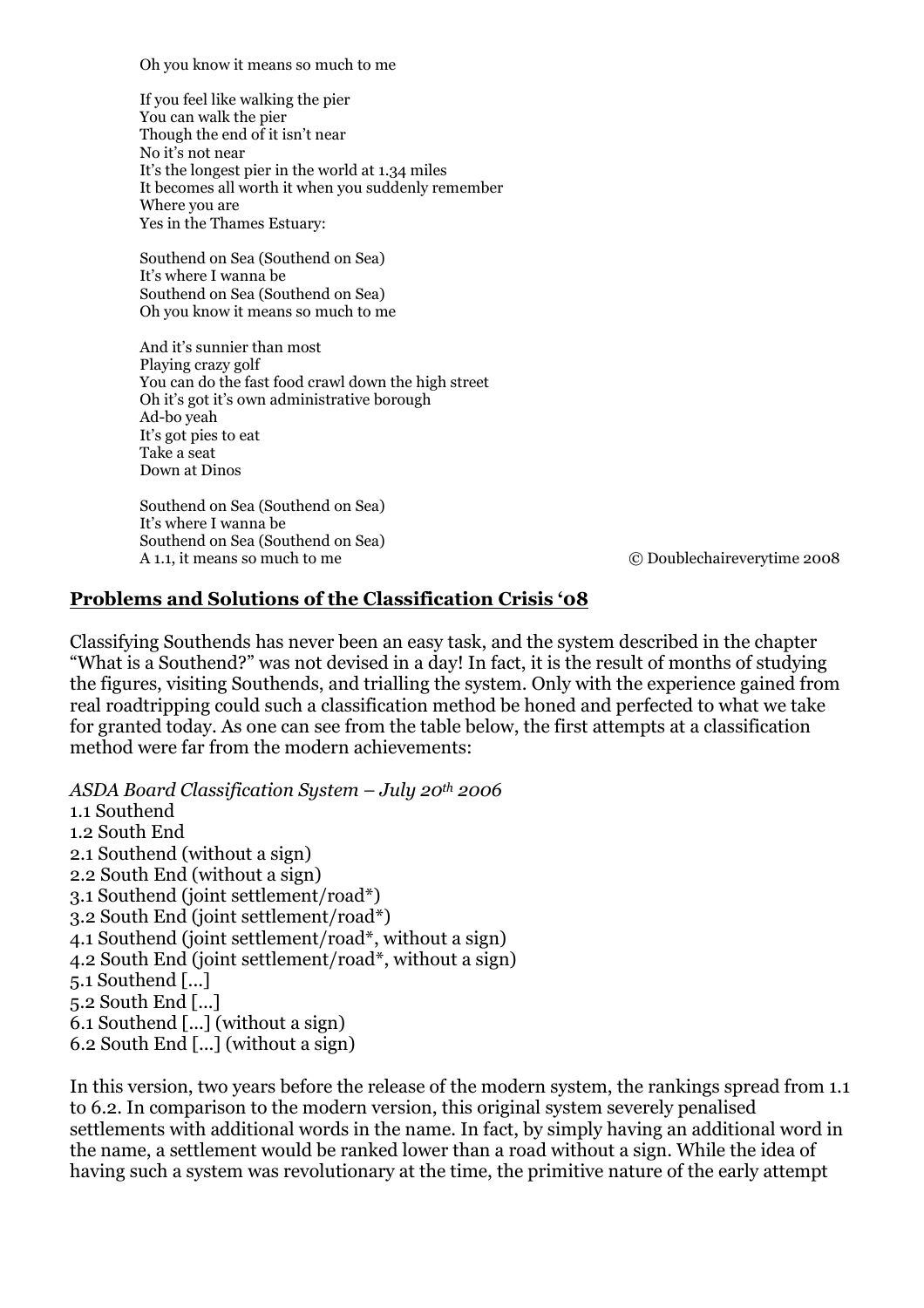Oh you know it means so much to me

If you feel like walking the pier You can walk the pier Though the end of it isn't near No it's not near It's the longest pier in the world at 1.34 miles It becomes all worth it when you suddenly remember Where you are Yes in the Thames Estuary:

Southend on Sea (Southend on Sea) It's where I wanna be Southend on Sea (Southend on Sea) Oh you know it means so much to me

And it's sunnier than most Playing crazy golf You can do the fast food crawl down the high street Oh it's got it's own administrative borough Ad-bo yeah It's got pies to eat Take a seat Down at Dinos

Southend on Sea (Southend on Sea) It's where I wanna be Southend on Sea (Southend on Sea)<br>A 1.1 it means so much to me

A 1.1, it means so much to me © Doublechaireverytime 2008

#### **Problems and Solutions of the Classification Crisis '08**

Classifying Southends has never been an easy task, and the system described in the chapter "What is a Southend?" was not devised in a day! In fact, it is the result of months of studying the figures, visiting Southends, and trialling the system. Only with the experience gained from real roadtripping could such a classification method be honed and perfected to what we take for granted today. As one can see from the table below, the first attempts at a classification method were far from the modern achievements:

*ASDA Board Classification System – July 20th 2006*  1.1 Southend 1.2 South End 2.1 Southend (without a sign) 2.2 South End (without a sign) 3.1 Southend (joint settlement/road\*) 3.2 South End (joint settlement/road\*) 4.1 Southend (joint settlement/road\*, without a sign) 4.2 South End (joint settlement/road\*, without a sign) 5.1 Southend [...] 5.2 South End [...] 6.1 Southend [...] (without a sign) 6.2 South End [...] (without a sign)

In this version, two years before the release of the modern system, the rankings spread from 1.1 to 6.2. In comparison to the modern version, this original system severely penalised settlements with additional words in the name. In fact, by simply having an additional word in the name, a settlement would be ranked lower than a road without a sign. While the idea of having such a system was revolutionary at the time, the primitive nature of the early attempt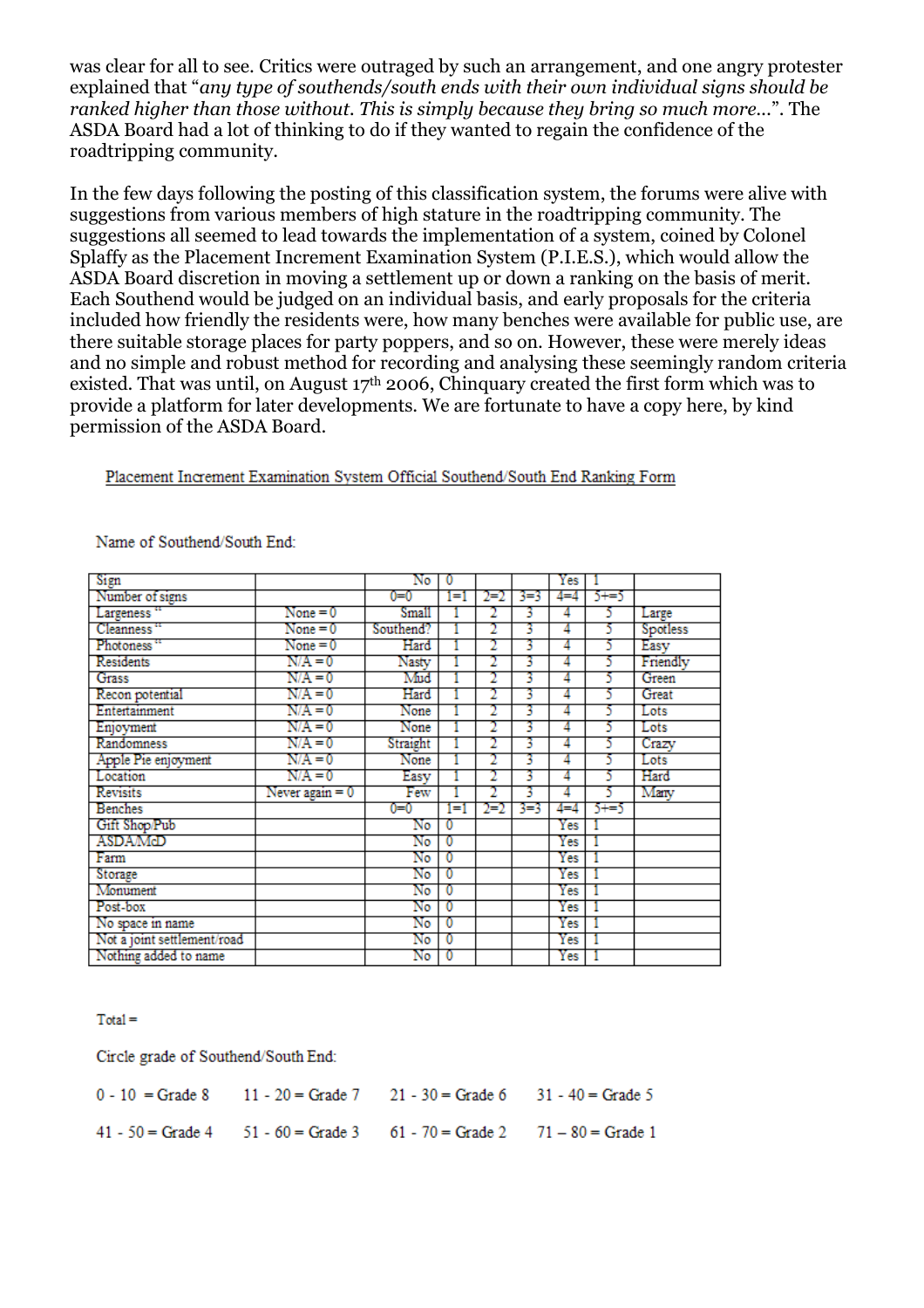was clear for all to see. Critics were outraged by such an arrangement, and one angry protester explained that "*any type of southends/south ends with their own individual signs should be ranked higher than those without. This is simply because they bring so much more...*". The ASDA Board had a lot of thinking to do if they wanted to regain the confidence of the roadtripping community.

In the few days following the posting of this classification system, the forums were alive with suggestions from various members of high stature in the roadtripping community. The suggestions all seemed to lead towards the implementation of a system, coined by Colonel Splaffy as the Placement Increment Examination System (P.I.E.S.), which would allow the ASDA Board discretion in moving a settlement up or down a ranking on the basis of merit. Each Southend would be judged on an individual basis, and early proposals for the criteria included how friendly the residents were, how many benches were available for public use, are there suitable storage places for party poppers, and so on. However, these were merely ideas and no simple and robust method for recording and analysing these seemingly random criteria existed. That was until, on August  $17<sup>th</sup>$  2006, Chinquary created the first form which was to provide a platform for later developments. We are fortunate to have a copy here, by kind permission of the ASDA Board.

#### Placement Increment Examination System Official Southend/South End Ranking Form

| Sign                        |                 | No        |    |         |     | Yes     |       |          |
|-----------------------------|-----------------|-----------|----|---------|-----|---------|-------|----------|
| Number of signs             |                 | $0=0$     | ЕI | $2=2$   | 3=3 | $4 = 4$ | 5+=5  |          |
| Largeness "                 | $None = 0$      | Small     |    |         | 3   | 4       | 5     | Large    |
| Cleanness"                  | $None = 0$      | Southend? |    | 2       | 3   | 4       | 5     | Spotless |
| Photoness"                  | $None = 0$      | Hard      |    |         | 3   | 4       | 5     | Easy     |
| Residents                   | $N/A = 0$       | Nasty     |    |         | 3   | 4       | 5     | Friendly |
| Grass                       | $N/A = 0$       | Mud       |    |         | 3   | 4       | 5     | Green    |
| Recon potential             | $N/A = 0$       | Hard      |    |         | 3   | 4       | 5     | Great    |
| Entertainment               | $N/A = 0$       | None      |    |         | 3   | 4       | 5     | Lots     |
| Enjoyment                   | $N/A = 0$       | None      |    |         | 3   | 4       | 5     | Lots     |
| Randomness                  | $N/A = 0$       | Straight  |    |         | 3   | 4       | 5     | Crazy    |
| Apple Pie enjoyment         | $N/A = 0$       | None      |    |         | 3   | 4       | 5     | Lots     |
| Location                    | N/A = 0         | Easy      |    |         | 3   | 4       | 5     | Hard     |
| <b>Revisits</b>             | Never again = 0 | Few       |    |         | 3   | 4       | 5     | Many     |
| <b>Benches</b>              |                 | 0=0       | Еi | $2 = 2$ | 3-3 | 4=4     | $5+5$ |          |
| Gift Shop/Pub               |                 | No        | 0  |         |     | Yes     |       |          |
| ASDAMcD                     |                 | No        | O  |         |     | Yes     |       |          |
| Farm                        |                 | No        | 0  |         |     | Yes     |       |          |
| Storage                     |                 | No        | 0  |         |     | Yes     |       |          |
| Monument                    |                 | No        | 0  |         |     | Yes     |       |          |
| Post-box                    |                 | No        |    |         |     | Yes     |       |          |
| No space in name            |                 | No        | 0  |         |     | Yes     |       |          |
| Not a joint settlement/road |                 | No        | 0  |         |     | Yes     |       |          |
| Nothing added to name       |                 | No        | 0  |         |     | Yes     |       |          |

#### Name of Southend/South End:

 $Total =$ 

Circle grade of Southend/South End:

|  | $0 - 10 =$ Grade 8 11 - 20 = Grade 7 21 - 30 = Grade 6 31 - 40 = Grade 5              |  |
|--|---------------------------------------------------------------------------------------|--|
|  | $41 - 50 =$ Grade $4 = 51 - 60 =$ Grade $3 = 61 - 70 =$ Grade $2 = 71 - 80 =$ Grade 1 |  |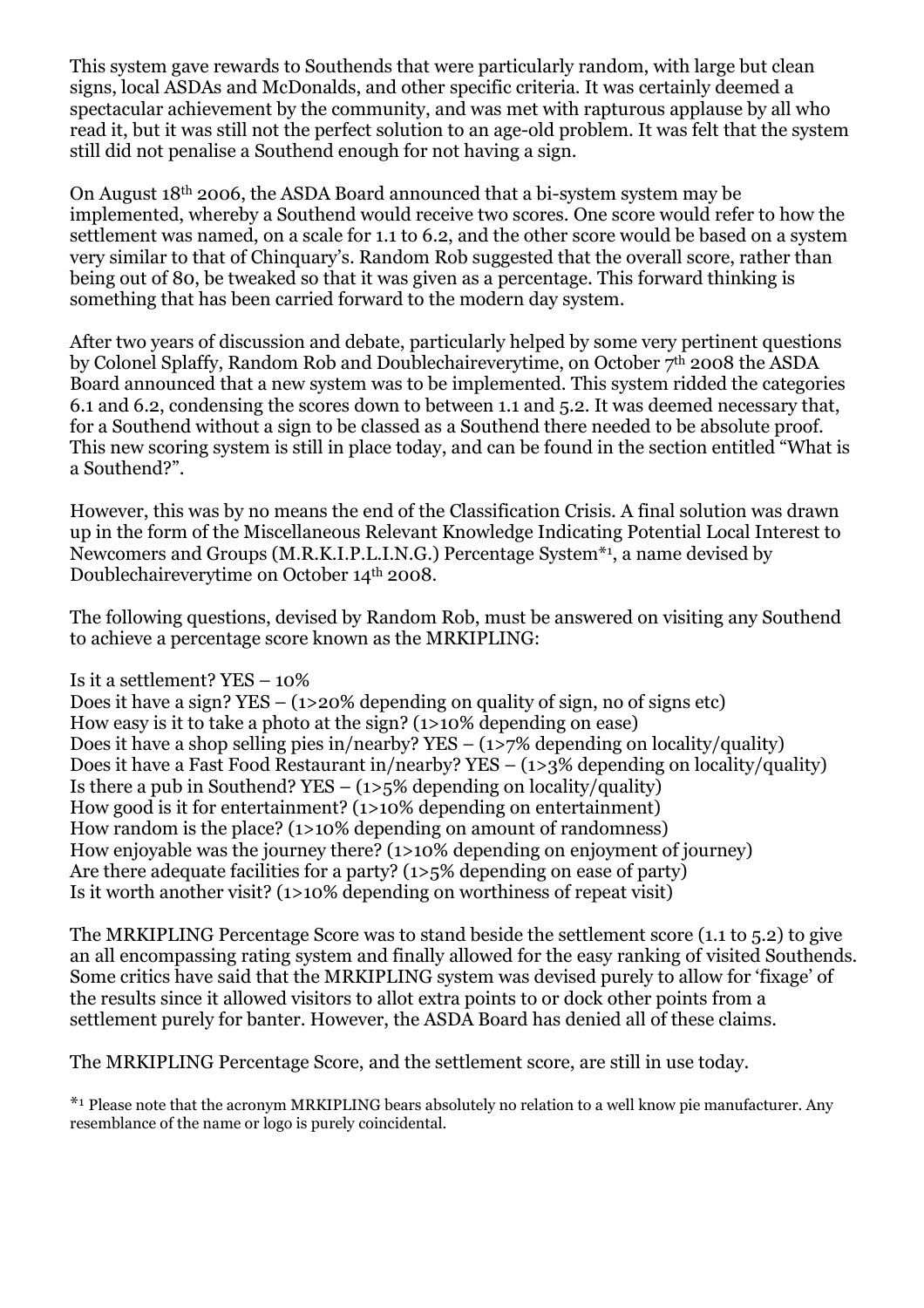This system gave rewards to Southends that were particularly random, with large but clean signs, local ASDAs and McDonalds, and other specific criteria. It was certainly deemed a spectacular achievement by the community, and was met with rapturous applause by all who read it, but it was still not the perfect solution to an age-old problem. It was felt that the system still did not penalise a Southend enough for not having a sign.

On August 18th 2006, the ASDA Board announced that a bi-system system may be implemented, whereby a Southend would receive two scores. One score would refer to how the settlement was named, on a scale for 1.1 to 6.2, and the other score would be based on a system very similar to that of Chinquary's. Random Rob suggested that the overall score, rather than being out of 80, be tweaked so that it was given as a percentage. This forward thinking is something that has been carried forward to the modern day system.

After two years of discussion and debate, particularly helped by some very pertinent questions by Colonel Splaffy, Random Rob and Doublechaireverytime, on October 7th 2008 the ASDA Board announced that a new system was to be implemented. This system ridded the categories 6.1 and 6.2, condensing the scores down to between 1.1 and 5.2. It was deemed necessary that, for a Southend without a sign to be classed as a Southend there needed to be absolute proof. This new scoring system is still in place today, and can be found in the section entitled "What is a Southend?".

However, this was by no means the end of the Classification Crisis. A final solution was drawn up in the form of the Miscellaneous Relevant Knowledge Indicating Potential Local Interest to Newcomers and Groups (M.R.K.I.P.L.I.N.G.) Percentage System\*<sup>1</sup> , a name devised by Doublechaireverytime on October 14th 2008.

The following questions, devised by Random Rob, must be answered on visiting any Southend to achieve a percentage score known as the MRKIPLING:

#### Is it a settlement? YES – 10%

Does it have a sign?  $YES - (1>20\%$  depending on quality of sign, no of signs etc) How easy is it to take a photo at the sign? (1>10% depending on ease) Does it have a shop selling pies in/nearby? YES – (1>7% depending on locality/quality) Does it have a Fast Food Restaurant in/nearby? YES – (1>3% depending on locality/quality) Is there a pub in Southend? YES –  $(1)5\%$  depending on locality/quality) How good is it for entertainment? (1>10% depending on entertainment) How random is the place? (1>10% depending on amount of randomness) How enjoyable was the journey there? (1>10% depending on enjoyment of journey) Are there adequate facilities for a party? (1>5% depending on ease of party) Is it worth another visit? (1>10% depending on worthiness of repeat visit)

The MRKIPLING Percentage Score was to stand beside the settlement score (1.1 to 5.2) to give an all encompassing rating system and finally allowed for the easy ranking of visited Southends. Some critics have said that the MRKIPLING system was devised purely to allow for 'fixage' of the results since it allowed visitors to allot extra points to or dock other points from a settlement purely for banter. However, the ASDA Board has denied all of these claims.

The MRKIPLING Percentage Score, and the settlement score, are still in use today.

\* 1 Please note that the acronym MRKIPLING bears absolutely no relation to a well know pie manufacturer. Any resemblance of the name or logo is purely coincidental.